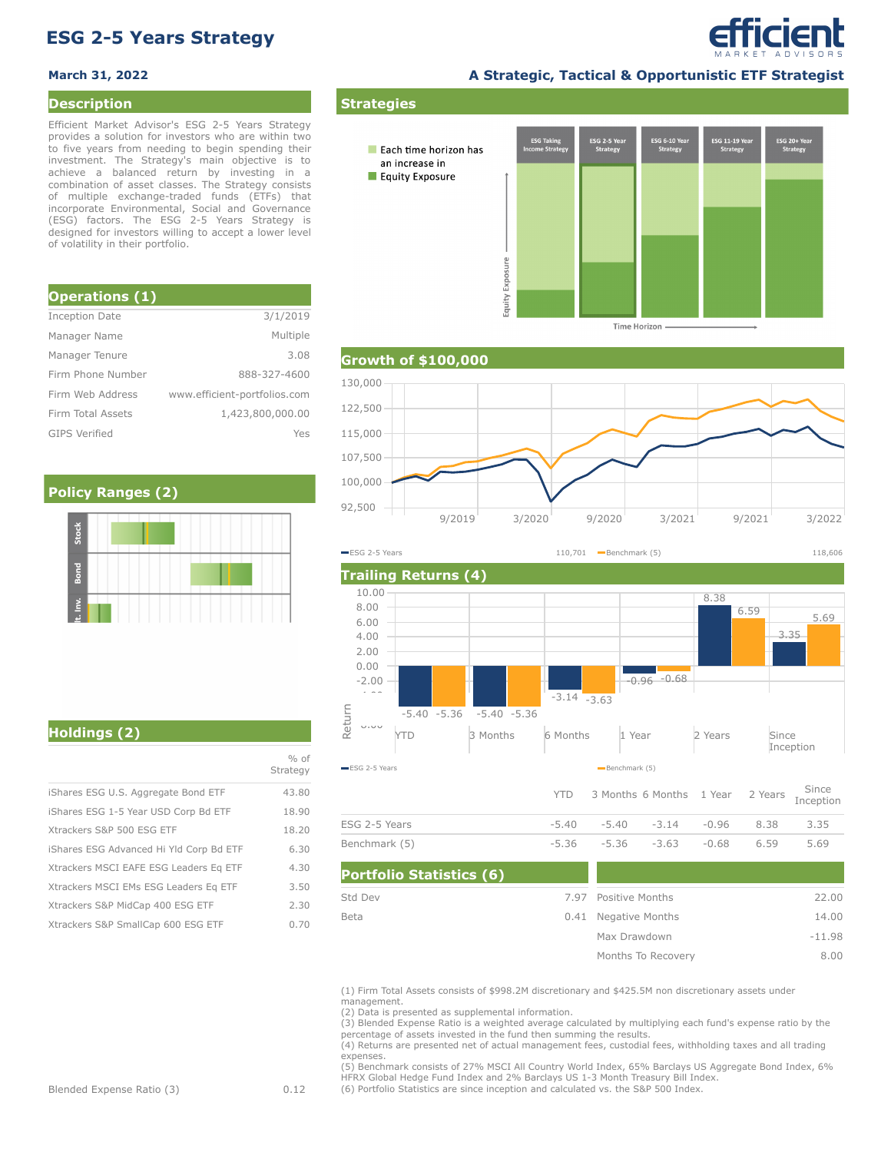# **ESG 2-5 Years Strategy**

### **Description**

Efficient Market Advisor's ESG 2-5 Years Strategy provides a solution for investors who are within two to five years from needing to begin spending their investment. The Strategy's main objective is to achieve a balanced return by investing in a combination of asset classes. The Strategy consists of multiple exchange-traded funds (ETFs) that incorporate Environmental, Social and Governance (ESG) factors. The ESG 2-5 Years Strategy is designed for investors willing to accept a lower level of volatility in their portfolio.

| <b>Operations (1)</b> |                              |
|-----------------------|------------------------------|
| <b>Inception Date</b> | 3/1/2019                     |
| Manager Name          | Multiple                     |
| Manager Tenure        | 3.08                         |
| Firm Phone Number     | 888-327-4600                 |
| Firm Web Address      | www.efficient-portfolios.com |
| Firm Total Assets     | 1,423,800,000.00             |
| <b>GIPS Verified</b>  | Yes                          |

## **Policy Ranges (2)**

**March 31, 2022 A Strategic, Tactical & Opportunistic ETF Strategist**

efficient



**Time Horizon** 

## **Growth of \$100,000**



**Trailing Returns (4)** YTD 3 Months 6 Months 1 Year 2 Years Since Inception  $U<sub>1</sub>U<sub>0</sub>$ -4.00 -2.00 0.00 2.00 4.00 6.00 8.00 10.00  $-5.40 - 5.36$ -3.14 -0.96 -0.68 8.38 3.35 -5.36 -5.36 -3.63 6.59 5.69 ESG 2-5 Years Benchmark (5)<br>All Solid Benchmark (5) Benchmark (5)<br>Benchmark (5) **ESG 2-5 Years** 110,701 Benchmark (5) 118,606

|               |  | YTD 3 Months 6 Months 1 Year 2 Years Since |  |      |
|---------------|--|--------------------------------------------|--|------|
| ESG 2-5 Years |  | $-5.40$ $-5.40$ $-3.14$ $-0.96$ 8.38       |  | 3.35 |
| Benchmark (5) |  | $-5.36$ $-5.36$ $-3.63$ $-0.68$ 6.59       |  | 5.69 |

| <b>Portfolio Statistics (6)</b> |                      |          |
|---------------------------------|----------------------|----------|
| Std Dev                         | 7.97 Positive Months | 22.00    |
| Beta                            | 0.41 Negative Months | 14.00    |
|                                 | Max Drawdown         | $-11.98$ |
|                                 | Months To Recovery   | 8.00     |

(1) Firm Total Assets consists of \$998.2M discretionary and \$425.5M non discretionary assets under management.

(2) Data is presented as supplemental information.

(3) Blended Expense Ratio is a weighted average calculated by multiplying each fund's expense ratio by the percentage of assets invested in the fund then summing the results.

(4) Returns are presented net of actual management fees, custodial fees, withholding taxes and all trading expenses.

(5) Benchmark consists of 27% MSCI All Country World Index, 65% Barclays US Aggregate Bond Index, 6% HFRX Global Hedge Fund Index and 2% Barclays US 1-3 Month Treasury Bill Index.

(6) Portfolio Statistics are since inception and calculated vs. the S&P 500 Index.

**Holdings (2)**

|                                         | Strategy |
|-----------------------------------------|----------|
| iShares ESG U.S. Aggregate Bond ETF     | 43.80    |
| iShares ESG 1-5 Year USD Corp Bd ETF    | 18.90    |
| Xtrackers S&P 500 ESG ETF               | 18.20    |
| iShares ESG Advanced Hi Yld Corp Bd ETF | 6.30     |
| Xtrackers MSCI EAFE ESG Leaders Eq ETF  | 4.30     |
| Xtrackers MSCI EMs ESG Leaders Eq ETF   | 3.50     |
| Xtrackers S&P MidCap 400 ESG ETF        | 2.30     |
| Xtrackers S&P SmallCap 600 ESG ETF      | 0.70     |

 $\frac{0}{0}$  of